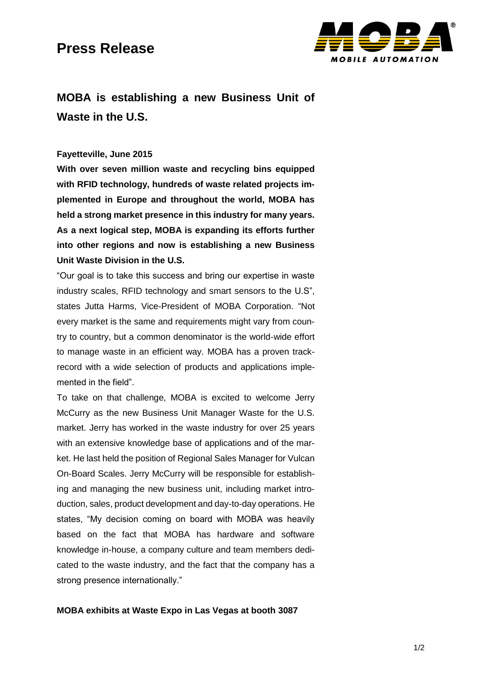### **Press Release**



## **MOBA is establishing a new Business Unit of Waste in the U.S.**

#### **Fayetteville, June 2015**

**With over seven million waste and recycling bins equipped with RFID technology, hundreds of waste related projects implemented in Europe and throughout the world, MOBA has held a strong market presence in this industry for many years. As a next logical step, MOBA is expanding its efforts further into other regions and now is establishing a new Business Unit Waste Division in the U.S.**

"Our goal is to take this success and bring our expertise in waste industry scales, RFID technology and smart sensors to the U.S", states Jutta Harms, Vice-President of MOBA Corporation. "Not every market is the same and requirements might vary from country to country, but a common denominator is the world-wide effort to manage waste in an efficient way. MOBA has a proven trackrecord with a wide selection of products and applications implemented in the field".

To take on that challenge, MOBA is excited to welcome Jerry McCurry as the new Business Unit Manager Waste for the U.S. market. Jerry has worked in the waste industry for over 25 years with an extensive knowledge base of applications and of the market. He last held the position of Regional Sales Manager for Vulcan On-Board Scales. Jerry McCurry will be responsible for establishing and managing the new business unit, including market introduction, sales, product development and day-to-day operations. He states, "My decision coming on board with MOBA was heavily based on the fact that MOBA has hardware and software knowledge in-house, a company culture and team members dedicated to the waste industry, and the fact that the company has a strong presence internationally."

#### **MOBA exhibits at Waste Expo in Las Vegas at booth 3087**